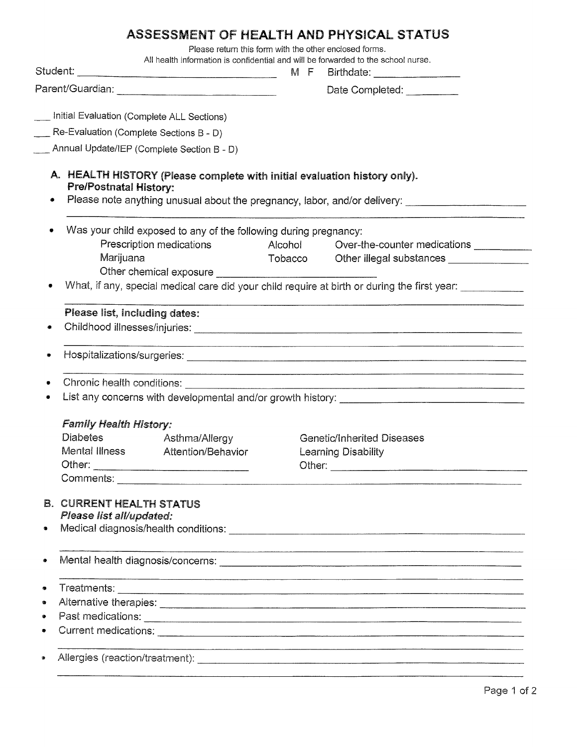## ASSESSMENT OF HEALTH AND PHYSICAL STATUS

Please return this form with the other enclosed forms.

|                                                                                              |                                            | All health information is confidential and will be forwarded to the school nurse. |  | M F Birthdate: _________________                                                                    |  |  |  |  |
|----------------------------------------------------------------------------------------------|--------------------------------------------|-----------------------------------------------------------------------------------|--|-----------------------------------------------------------------------------------------------------|--|--|--|--|
|                                                                                              |                                            |                                                                                   |  | Date Completed: _________                                                                           |  |  |  |  |
|                                                                                              |                                            |                                                                                   |  |                                                                                                     |  |  |  |  |
|                                                                                              | Initial Evaluation (Complete ALL Sections) |                                                                                   |  |                                                                                                     |  |  |  |  |
|                                                                                              | Re-Evaluation (Complete Sections B - D)    |                                                                                   |  |                                                                                                     |  |  |  |  |
|                                                                                              |                                            | Annual Update/IEP (Complete Section B - D)                                        |  |                                                                                                     |  |  |  |  |
|                                                                                              | <b>Pre/Postnatal History:</b>              | A. HEALTH HISTORY (Please complete with initial evaluation history only).         |  | Please note anything unusual about the pregnancy, labor, and/or delivery: _________________________ |  |  |  |  |
|                                                                                              |                                            | Was your child exposed to any of the following during pregnancy:                  |  |                                                                                                     |  |  |  |  |
|                                                                                              |                                            | Prescription medications                                                          |  |                                                                                                     |  |  |  |  |
|                                                                                              | Marijuana                                  |                                                                                   |  |                                                                                                     |  |  |  |  |
|                                                                                              |                                            |                                                                                   |  |                                                                                                     |  |  |  |  |
| What, if any, special medical care did your child require at birth or during the first year: |                                            |                                                                                   |  |                                                                                                     |  |  |  |  |
|                                                                                              | Please list, including dates:              |                                                                                   |  |                                                                                                     |  |  |  |  |
|                                                                                              |                                            |                                                                                   |  |                                                                                                     |  |  |  |  |
|                                                                                              |                                            |                                                                                   |  |                                                                                                     |  |  |  |  |
|                                                                                              |                                            |                                                                                   |  |                                                                                                     |  |  |  |  |
|                                                                                              |                                            |                                                                                   |  |                                                                                                     |  |  |  |  |
|                                                                                              |                                            |                                                                                   |  |                                                                                                     |  |  |  |  |
|                                                                                              | <b>Family Health History:</b>              |                                                                                   |  |                                                                                                     |  |  |  |  |
|                                                                                              |                                            | Diabetes Asthma/Allergy                                                           |  | <b>Genetic/Inherited Diseases</b>                                                                   |  |  |  |  |
|                                                                                              | Mental Illness                             | Attention/Behavior                                                                |  | <b>Learning Disability</b>                                                                          |  |  |  |  |
|                                                                                              |                                            |                                                                                   |  |                                                                                                     |  |  |  |  |
|                                                                                              |                                            |                                                                                   |  |                                                                                                     |  |  |  |  |
| B.                                                                                           | <b>CURRENT HEALTH STATUS</b>               |                                                                                   |  |                                                                                                     |  |  |  |  |
|                                                                                              | Please list all/updated:                   |                                                                                   |  |                                                                                                     |  |  |  |  |
| ۰                                                                                            |                                            |                                                                                   |  |                                                                                                     |  |  |  |  |
| ۰                                                                                            |                                            |                                                                                   |  |                                                                                                     |  |  |  |  |
|                                                                                              |                                            |                                                                                   |  |                                                                                                     |  |  |  |  |
| $\bullet$                                                                                    |                                            |                                                                                   |  |                                                                                                     |  |  |  |  |
| ۰                                                                                            |                                            |                                                                                   |  |                                                                                                     |  |  |  |  |
|                                                                                              |                                            |                                                                                   |  |                                                                                                     |  |  |  |  |
| Ş.                                                                                           |                                            |                                                                                   |  |                                                                                                     |  |  |  |  |
|                                                                                              |                                            |                                                                                   |  |                                                                                                     |  |  |  |  |